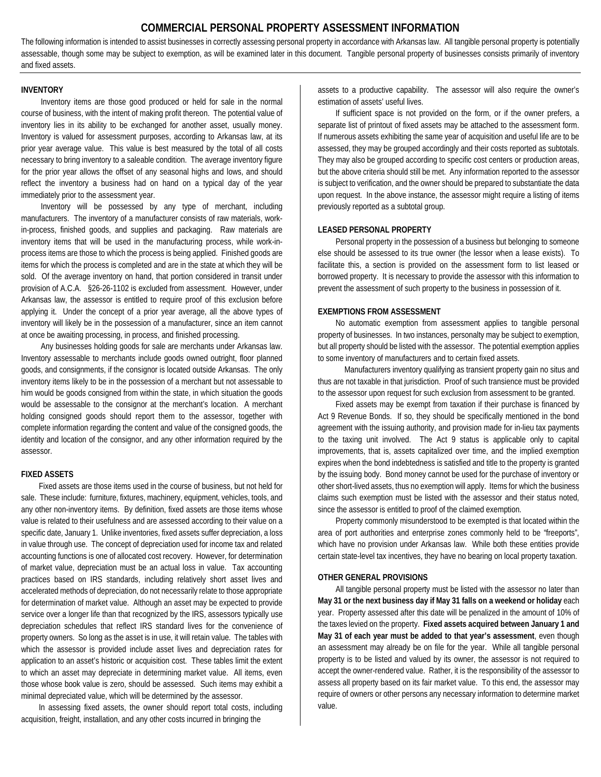# **COMMERCIAL PERSONAL PROPERTY ASSESSMENT INFORMATION**

The following information is intended to assist businesses in correctly assessing personal property in accordance with Arkansas law. All tangible personal property is potentially assessable, though some may be subject to exemption, as will be examined later in this document. Tangible personal property of businesses consists primarily of inventory and fixed assets.

#### **INVENTORY**

Inventory items are those good produced or held for sale in the normal course of business, with the intent of making profit thereon. The potential value of inventory lies in its ability to be exchanged for another asset, usually money. Inventory is valued for assessment purposes, according to Arkansas law, at its prior year average value. This value is best measured by the total of all costs necessary to bring inventory to a saleable condition. The average inventory figure for the prior year allows the offset of any seasonal highs and lows, and should reflect the inventory a business had on hand on a typical day of the year immediately prior to the assessment year.

Inventory will be possessed by any type of merchant, including manufacturers. The inventory of a manufacturer consists of raw materials, workin-process, finished goods, and supplies and packaging. Raw materials are inventory items that will be used in the manufacturing process, while work-inprocess items are those to which the process is being applied. Finished goods are items for which the process is completed and are in the state at which they will be sold. Of the average inventory on hand, that portion considered in transit under provision of A.C.A. §26-26-1102 is excluded from assessment. However, under Arkansas law, the assessor is entitled to require proof of this exclusion before applying it. Under the concept of a prior year average, all the above types of inventory will likely be in the possession of a manufacturer, since an item cannot at once be awaiting processing, in process, and finished processing.

Any businesses holding goods for sale are merchants under Arkansas law. Inventory assessable to merchants include goods owned outright, floor planned goods, and consignments, if the consignor is located outside Arkansas. The only inventory items likely to be in the possession of a merchant but not assessable to him would be goods consigned from within the state, in which situation the goods would be assessable to the consignor at the merchant's location. A merchant holding consigned goods should report them to the assessor, together with complete information regarding the content and value of the consigned goods, the identity and location of the consignor, and any other information required by the assessor.

## **FIXED ASSETS**

Fixed assets are those items used in the course of business, but not held for sale. These include: furniture, fixtures, machinery, equipment, vehicles, tools, and any other non-inventory items. By definition, fixed assets are those items whose value is related to their usefulness and are assessed according to their value on a specific date, January 1. Unlike inventories, fixed assets suffer depreciation, a loss in value through use. The concept of depreciation used for income tax and related accounting functions is one of allocated cost recovery. However, for determination of market value, depreciation must be an actual loss in value. Tax accounting practices based on IRS standards, including relatively short asset lives and accelerated methods of depreciation, do not necessarily relate to those appropriate for determination of market value. Although an asset may be expected to provide service over a longer life than that recognized by the IRS, assessors typically use depreciation schedules that reflect IRS standard lives for the convenience of property owners. So long as the asset is in use, it will retain value. The tables with which the assessor is provided include asset lives and depreciation rates for application to an asset's historic or acquisition cost. These tables limit the extent to which an asset may depreciate in determining market value. All items, even those whose book value is zero, should be assessed. Such items may exhibit a minimal depreciated value, which will be determined by the assessor.

In assessing fixed assets, the owner should report total costs, including acquisition, freight, installation, and any other costs incurred in bringing the

assets to a productive capability. The assessor will also require the owner's estimation of assets' useful lives.

If sufficient space is not provided on the form, or if the owner prefers, a separate list of printout of fixed assets may be attached to the assessment form. If numerous assets exhibiting the same year of acquisition and useful life are to be assessed, they may be grouped accordingly and their costs reported as subtotals. They may also be grouped according to specific cost centers or production areas, but the above criteria should still be met. Any information reported to the assessor is subject to verification, and the owner should be prepared to substantiate the data upon request. In the above instance, the assessor might require a listing of items previously reported as a subtotal group.

### **LEASED PERSONAL PROPERTY**

Personal property in the possession of a business but belonging to someone else should be assessed to its true owner (the lessor when a lease exists). To facilitate this, a section is provided on the assessment form to list leased or borrowed property. It is necessary to provide the assessor with this information to prevent the assessment of such property to the business in possession of it.

### **EXEMPTIONS FROM ASSESSMENT**

No automatic exemption from assessment applies to tangible personal property of businesses. In two instances, personalty may be subject to exemption, but all property should be listed with the assessor. The potential exemption applies to some inventory of manufacturers and to certain fixed assets.

Manufacturers inventory qualifying as transient property gain no situs and thus are not taxable in that jurisdiction. Proof of such transience must be provided to the assessor upon request for such exclusion from assessment to be granted.

Fixed assets may be exempt from taxation if their purchase is financed by Act 9 Revenue Bonds. If so, they should be specifically mentioned in the bond agreement with the issuing authority, and provision made for in-lieu tax payments to the taxing unit involved. The Act 9 status is applicable only to capital improvements, that is, assets capitalized over time, and the implied exemption expires when the bond indebtedness is satisfied and title to the property is granted by the issuing body. Bond money cannot be used for the purchase of inventory or other short-lived assets, thus no exemption will apply. Items for which the business claims such exemption must be listed with the assessor and their status noted, since the assessor is entitled to proof of the claimed exemption.

Property commonly misunderstood to be exempted is that located within the area of port authorities and enterprise zones commonly held to be "freeports", which have no provision under Arkansas law. While both these entities provide certain state-level tax incentives, they have no bearing on local property taxation.

### **OTHER GENERAL PROVISIONS**

All tangible personal property must be listed with the assessor no later than **May 31 or the next business day if May 31 falls on a weekend or holiday** each year. Property assessed after this date will be penalized in the amount of 10% of the taxes levied on the property. **Fixed assets acquired between January 1 and May 31 of each year must be added to that year's assessment**, even though an assessment may already be on file for the year. While all tangible personal property is to be listed and valued by its owner, the assessor is not required to accept the owner-rendered value. Rather, it is the responsibility of the assessor to assess all property based on its fair market value. To this end, the assessor may require of owners or other persons any necessary information to determine market value.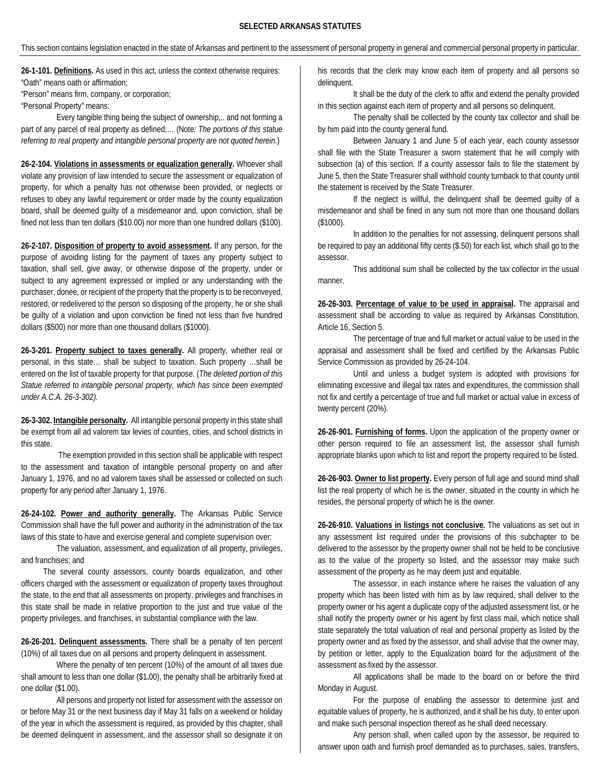### **SELECTED ARKANSAS STATUTES**

This section contains legislation enacted in the state of Arkansas and pertinent to the assessment of personal property in general and commercial personal property in particular.

**26-1-101. Definitions.** As used in this act, unless the context otherwise requires: "Oath" means oath or affirmation;

"Person" means firm, company, or corporation;

"Personal Property" means:

Every tangible thing being the subject of ownership,.. and not forming a part of any parcel of real property as defined;… (Note*: The portions of this statue referring to real property and intangible personal property are not quoted herein*.)

**26-2-104. Violations in assessments or equalization generally.** Whoever shall violate any provision of law intended to secure the assessment or equalization of property, for which a penalty has not otherwise been provided, or neglects or refuses to obey any lawful requirement or order made by the county equalization board, shall be deemed guilty of a misdemeanor and, upon conviction, shall be fined not less than ten dollars (\$10.00) nor more than one hundred dollars (\$100).

**26-2-107. Disposition of property to avoid assessment.** If any person, for the purpose of avoiding listing for the payment of taxes any property subject to taxation, shall sell, give away, or otherwise dispose of the property, under or subject to any agreement expressed or implied or any understanding with the purchaser, donee, or recipient of the property that the property is to be reconveyed, restored, or redelivered to the person so disposing of the property, he or she shall be guilty of a violation and upon conviction be fined not less than five hundred dollars (\$500) nor more than one thousand dollars (\$1000).

**26-3-201. Property subject to taxes generally.** All property, whether real or personal, in this state… shall be subject to taxation. Such property …shall be entered on the list of taxable property for that purpose. (*The deleted portion of this Statue referred to intangible personal property, which has since been exempted under A.C.A. 26-3-302).*

**26-3-302. Intangible personalty.** All intangible personal property in this state shall be exempt from all ad valorem tax levies of counties, cities, and school districts in this state.

The exemption provided in this section shall be applicable with respect to the assessment and taxation of intangible personal property on and after January 1, 1976, and no ad valorem taxes shall be assessed or collected on such property for any period after January 1, 1976.

**26-24-102. Power and authority generally.** The Arkansas Public Service Commission shall have the full power and authority in the administration of the tax laws of this state to have and exercise general and complete supervision over:

The valuation, assessment, and equalization of all property, privileges, and franchises; and

 The several county assessors, county boards equalization, and other officers charged with the assessment or equalization of property taxes throughout the state, to the end that all assessments on property, privileges and franchises in this state shall be made in relative proportion to the just and true value of the property privileges, and franchises, in substantial compliance with the law.

**26-26-201. Delinquent assessments.** There shall be a penalty of ten percent (10%) of all taxes due on all persons and property delinquent in assessment.

Where the penalty of ten percent (10%) of the amount of all taxes due shall amount to less than one dollar (\$1**.**00), the penalty shall be arbitrarily fixed at one dollar (\$1.00).

All persons and property not listed for assessment with the assessor on or before May 31 or the next business day if May 31 falls on a weekend or holiday of the year in which the assessment is required, as provided by this chapter, shall be deemed delinquent in assessment, and the assessor shall so designate it on his records that the clerk may know each item of property and all persons so delinquent.

It shall be the duty of the clerk to affix and extend the penalty provided in this section against each item of property and all persons so delinquent.

The penalty shall be collected by the county tax collector and shall be by him paid into the county general fund.

Between January 1 and June 5 of each year, each county assessor shall file with the State Treasurer a sworn statement that he will comply with subsection (a) of this section. If a county assessor fails to file the statement by June 5, then the State Treasurer shall withhold county turnback to that county until the statement is received by the State Treasurer.

If the neglect is willful, the delinquent shall be deemed guilty of a misdemeanor and shall be fined in any sum not more than one thousand dollars (\$1000).

In addition to the penalties for not assessing, delinquent persons shall be required to pay an additional fifty cents (\$.50) for each list, which shall go to the assessor.

This additional sum shall be collected by the tax collector in the usual manner.

**26-26-303. Percentage of value to be used in appraisal.** The appraisal and assessment shall be according to value as required by Arkansas Constitution, Article 16, Section 5.

The percentage of true and full market or actual value to be used in the appraisal and assessment shall be fixed and certified by the Arkansas Public Service Commission as provided by 26-24-104.

Until and unless a budget system is adopted with provisions for eliminating excessive and illegal tax rates and expenditures, the commission shall not fix and certify a percentage of true and full market or actual value in excess of twenty percent (20%).

**26-26-901. Furnishing of forms.** Upon the application of the property owner or other person required to file an assessment list, the assessor shall furnish appropriate blanks upon which to list and report the property required to be listed.

**26-26-903. Owner to list property.** Every person of full age and sound mind shall list the real property of which he is the owner, situated in the county in which he resides, the personal property of which he is the owner.

**26-26-910. Valuations in listings not conclusive.** The valuations as set out in any assessment list required under the provisions of this subchapter to be delivered to the assessor by the property owner shall not be held to be conclusive as to the value of the property so listed, and the assessor may make such assessment of the property as he may deem just and equitable.

The assessor, in each instance where he raises the valuation of any property which has been listed with him as by law required, shall deliver to the property owner or his agent a duplicate copy of the adjusted assessment list, or he shall notify the property owner or his agent by first class mail, which notice shall state separately the total valuation of real and personal property as listed by the property owner and as fixed by the assessor, and shall advise that the owner may, by petition or letter, apply to the Equalization board for the adjustment of the assessment as fixed by the assessor.

All applications shall be made to the board on or before the third Monday in August.

For the purpose of enabling the assessor to determine just and equitable values of property, he is authorized, and it shall be his duty, to enter upon and make such personal inspection thereof as he shall deed necessary.

Any person shall, when called upon by the assessor, be required to answer upon oath and furnish proof demanded as to purchases, sales, transfers,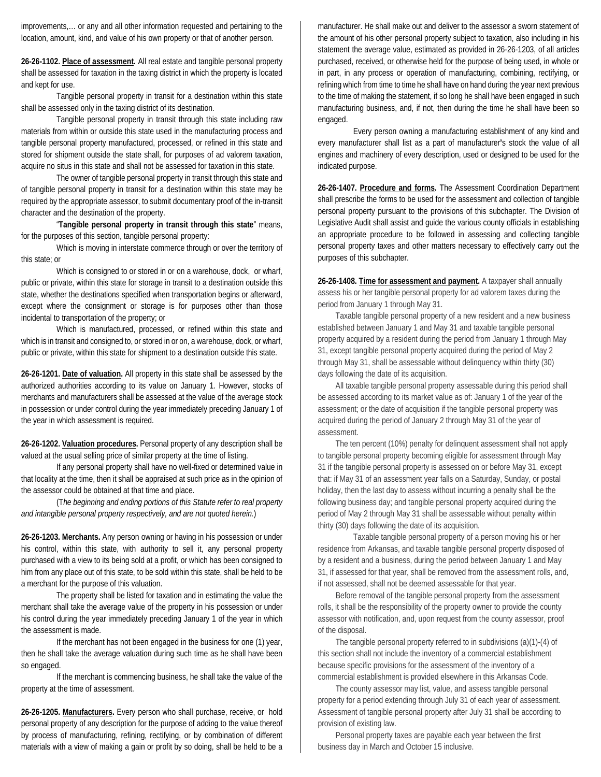improvements,… or any and all other information requested and pertaining to the location, amount, kind, and value of his own property or that of another person.

**26-26-1102. Place of assessment.** All real estate and tangible personal property shall be assessed for taxation in the taxing district in which the property is located and kept for use.

Tangible personal property in transit for a destination within this state shall be assessed only in the taxing district of its destination.

Tangible personal property in transit through this state including raw materials from within or outside this state used in the manufacturing process and tangible personal property manufactured, processed, or refined in this state and stored for shipment outside the state shall, for purposes of ad valorem taxation, acquire no situs in this state and shall not be assessed for taxation in this state.

The owner of tangible personal property in transit through this state and of tangible personal property in transit for a destination within this state may be required by the appropriate assessor, to submit documentary proof of the in-transit character and the destination of the property.

"**Tangible personal property in transit through this state**" means, for the purposes of this section, tangible personal property:

Which is moving in interstate commerce through or over the territory of this state; or

Which is consigned to or stored in or on a warehouse, dock, or wharf, public or private, within this state for storage in transit to a destination outside this state, whether the destinations specified when transportation begins or afterward, except where the consignment or storage is for purposes other than those incidental to transportation of the property; or

Which is manufactured, processed, or refined within this state and which is in transit and consigned to, or stored in or on, a warehouse, dock, or wharf, public or private, within this state for shipment to a destination outside this state.

**26-26-1201. Date of valuation.** All property in this state shall be assessed by the authorized authorities according to its value on January 1. However, stocks of merchants and manufacturers shall be assessed at the value of the average stock in possession or under control during the year immediately preceding January 1 of the year in which assessment is required.

**26-26-1202. Valuation procedures.** Personal property of any description shall be valued at the usual selling price of similar property at the time of listing.

If any personal property shall have no well**-**fixed or determined value in that locality at the time, then it shall be appraised at such price as in the opinion of the assessor could be obtained at that time and place.

(T*he beginning and ending portions of this Statute refer to real property and intangible personal property respectively, and are not quoted herein.*)

**26-26-1203. Merchants.** Any person owning or having in his possession or under his control, within this state, with authority to sell it, any personal property purchased with a view to its being sold at a profit, or which has been consigned to him from any place out of this state, to be sold within this state, shall be held to be a merchant for the purpose of this valuation.

The property shall be listed for taxation and in estimating the value the merchant shall take the average value of the property in his possession or under his control during the year immediately preceding January 1 of the year in which the assessment is made.

If the merchant has not been engaged in the business for one (1) year, then he shall take the average valuation during such time as he shall have been so engaged.

If the merchant is commencing business, he shall take the value of the property at the time of assessment.

**26-26-1205. Manufacturers.** Every person who shall purchase, receive, or hold personal property of any description for the purpose of adding to the value thereof by process of manufacturing, refining, rectifying, or by combination of different materials with a view of making a gain or profit by so doing, shall be held to be a

manufacturer. He shall make out and deliver to the assessor a sworn statement of the amount of his other personal property subject to taxation, also including in his statement the average value, estimated as provided in 26-26-1203, of all articles purchased, received, or otherwise held for the purpose of being used, in whole or in part, in any process or operation of manufacturing, combining, rectifying, or refining which from time to time he shall have on hand during the year next previous to the time of making the statement, if so long he shall have been engaged in such manufacturing business, and, if not, then during the time he shall have been so engaged.

Every person owning a manufacturing establishment of any kind and every manufacturer shall list as a part of manufacturer**'**s stock the value of all engines and machinery of every description, used or designed to be used for the indicated purpose.

**26-26-1407. Procedure and forms.** The Assessment Coordination Department shall prescribe the forms to be used for the assessment and collection of tangible personal property pursuant to the provisions of this subchapter. The Division of Legislative Audit shall assist and guide the various county officials in establishing an appropriate procedure to be followed in assessing and collecting tangible personal property taxes and other matters necessary to effectively carry out the purposes of this subchapter.

**26-26-1408. Time for assessment and payment.** A taxpayer shall annually assess his or her tangible personal property for ad valorem taxes during the period from January 1 through May 31.

Taxable tangible personal property of a new resident and a new business established between January 1 and May 31 and taxable tangible personal property acquired by a resident during the period from January 1 through May 31, except tangible personal property acquired during the period of May 2 through May 31, shall be assessable without delinquency within thirty (30) days following the date of its acquisition.

All taxable tangible personal property assessable during this period shall be assessed according to its market value as of: January 1 of the year of the assessment; or the date of acquisition if the tangible personal property was acquired during the period of January 2 through May 31 of the year of assessment.

The ten percent (10%) penalty for delinquent assessment shall not apply to tangible personal property becoming eligible for assessment through May 31 if the tangible personal property is assessed on or before May 31, except that: if May 31 of an assessment year falls on a Saturday, Sunday, or postal holiday, then the last day to assess without incurring a penalty shall be the following business day; and tangible personal property acquired during the period of May 2 through May 31 shall be assessable without penalty within thirty (30) days following the date of its acquisition.

Taxable tangible personal property of a person moving his or her residence from Arkansas, and taxable tangible personal property disposed of by a resident and a business, during the period between January 1 and May 31, if assessed for that year, shall be removed from the assessment rolls, and, if not assessed, shall not be deemed assessable for that year.

Before removal of the tangible personal property from the assessment rolls, it shall be the responsibility of the property owner to provide the county assessor with notification, and, upon request from the county assessor, proof of the disposal.

The tangible personal property referred to in subdivisions (a)(1)-(4) of this section shall not include the inventory of a commercial establishment because specific provisions for the assessment of the inventory of a commercial establishment is provided elsewhere in this Arkansas Code.

The county assessor may list, value, and assess tangible personal property for a period extending through July 31 of each year of assessment. Assessment of tangible personal property after July 31 shall be according to provision of existing law.

Personal property taxes are payable each year between the first business day in March and October 15 inclusive.